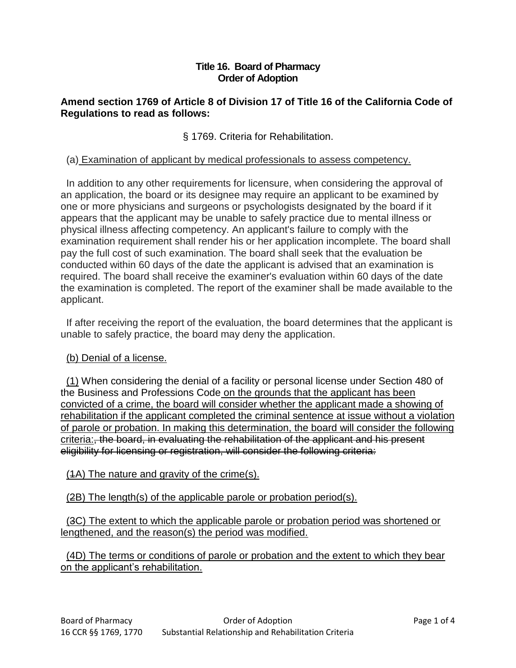#### **Title 16. Board of Pharmacy Order of Adoption**

## **Amend section 1769 of Article 8 of Division 17 of Title 16 of the California Code of Regulations to read as follows:**

§ 1769. Criteria for Rehabilitation.

## (a) Examination of applicant by medical professionals to assess competency.

 In addition to any other requirements for licensure, when considering the approval of an application, the board or its designee may require an applicant to be examined by one or more physicians and surgeons or psychologists designated by the board if it appears that the applicant may be unable to safely practice due to mental illness or physical illness affecting competency. An applicant's failure to comply with the examination requirement shall render his or her application incomplete. The board shall pay the full cost of such examination. The board shall seek that the evaluation be conducted within 60 days of the date the applicant is advised that an examination is required. The board shall receive the examiner's evaluation within 60 days of the date the examination is completed. The report of the examiner shall be made available to the applicant.

 If after receiving the report of the evaluation, the board determines that the applicant is unable to safely practice, the board may deny the application.

# (b) Denial of a license.

 (1) When considering the denial of a facility or personal license under Section 480 of the Business and Professions Code on the grounds that the applicant has been convicted of a crime, the board will consider whether the applicant made a showing of rehabilitation if the applicant completed the criminal sentence at issue without a violation of parole or probation. In making this determination, the board will consider the following criteria:, the board, in evaluating the rehabilitation of the applicant and his present eligibility for licensing or registration, will consider the following criteria:

#### (1A) The nature and gravity of the crime(s).

(2B) The length(s) of the applicable parole or probation period(s).

 (3C) The extent to which the applicable parole or probation period was shortened or lengthened, and the reason(s) the period was modified.

 (4D) The terms or conditions of parole or probation and the extent to which they bear on the applicant's rehabilitation.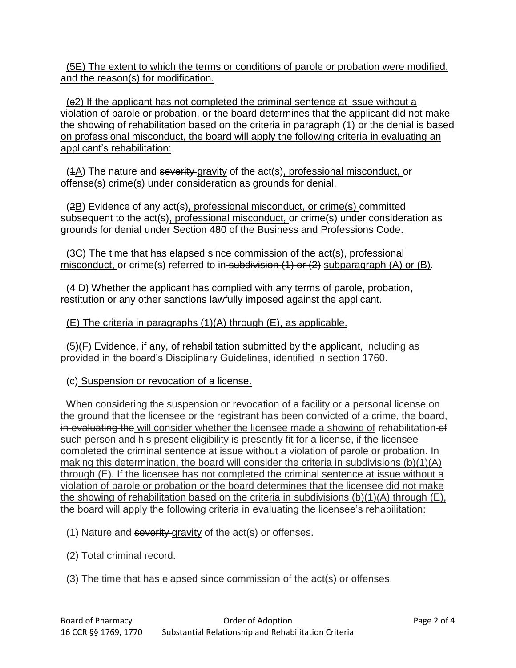(5E) The extent to which the terms or conditions of parole or probation were modified, and the reason(s) for modification.

 (c2) If the applicant has not completed the criminal sentence at issue without a violation of parole or probation, or the board determines that the applicant did not make the showing of rehabilitation based on the criteria in paragraph (1) or the denial is based on professional misconduct, the board will apply the following criteria in evaluating an applicant's rehabilitation:

(4A) The nature and severity gravity of the act(s), professional misconduct, or offense(s) crime(s) under consideration as grounds for denial.

 (2B) Evidence of any act(s), professional misconduct, or crime(s) committed subsequent to the act(s), professional misconduct, or crime(s) under consideration as grounds for denial under Section 480 of the Business and Professions Code.

 (3C) The time that has elapsed since commission of the act(s), professional misconduct, or crime(s) referred to in subdivision  $(1)$  or  $(2)$  subparagraph  $(A)$  or  $(B)$ .

 (4 D) Whether the applicant has complied with any terms of parole, probation, restitution or any other sanctions lawfully imposed against the applicant.

# (E) The criteria in paragraphs (1)(A) through (E), as applicable.

 $(5)(F)$  Evidence, if any, of rehabilitation submitted by the applicant, including as provided in the board's Disciplinary Guidelines, identified in section 1760.

# (c) Suspension or revocation of a license.

 When considering the suspension or revocation of a facility or a personal license on the ground that the licensee or the registrant has been convicted of a crime, the board, in evaluating the will consider whether the licensee made a showing of rehabilitation of such person and his present eligibility is presently fit for a license, if the licensee completed the criminal sentence at issue without a violation of parole or probation. In making this determination, the board will consider the criteria in subdivisions (b)(1)(A) through (E). If the licensee has not completed the criminal sentence at issue without a violation of parole or probation or the board determines that the licensee did not make the showing of rehabilitation based on the criteria in subdivisions (b)(1)(A) through (E), the board will apply the following criteria in evaluating the licensee's rehabilitation:

(1) Nature and  $severity-gravity$  of the  $act(s)$  or offenses.

- (2) Total criminal record.
- (3) The time that has elapsed since commission of the act(s) or offenses.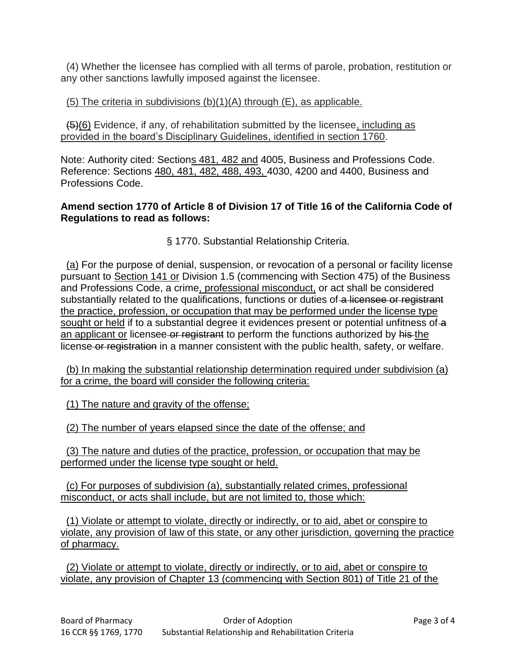(4) Whether the licensee has complied with all terms of parole, probation, restitution or any other sanctions lawfully imposed against the licensee.

#### (5) The criteria in subdivisions  $(b)(1)(A)$  through  $(E)$ , as applicable.

 (5)(6) Evidence, if any, of rehabilitation submitted by the licensee, including as provided in the board's Disciplinary Guidelines, identified in section 1760.

Note: Authority cited: Sections 481, 482 and 4005, Business and Professions Code. Reference: Sections 480, 481, 482, 488, 493, 4030, 4200 and 4400, Business and Professions Code.

#### **Amend section 1770 of Article 8 of Division 17 of Title 16 of the California Code of Regulations to read as follows:**

§ 1770. Substantial Relationship Criteria.

 (a) For the purpose of denial, suspension, or revocation of a personal or facility license pursuant to Section 141 or Division 1.5 (commencing with Section 475) of the Business and Professions Code, a crime, professional misconduct, or act shall be considered substantially related to the qualifications, functions or duties of a licensee or registrant the practice, profession, or occupation that may be performed under the license type sought or held if to a substantial degree it evidences present or potential unfitness of a an applicant or licensee or registrant to perform the functions authorized by his the license or registration in a manner consistent with the public health, safety, or welfare.

(b) In making the substantial relationship determination required under subdivision (a) for a crime, the board will consider the following criteria:

(1) The nature and gravity of the offense;

(2) The number of years elapsed since the date of the offense; and

 (3) The nature and duties of the practice, profession, or occupation that may be performed under the license type sought or held.

 (c) For purposes of subdivision (a), substantially related crimes, professional misconduct, or acts shall include, but are not limited to, those which:

 (1) Violate or attempt to violate, directly or indirectly, or to aid, abet or conspire to violate, any provision of law of this state, or any other jurisdiction, governing the practice of pharmacy.

 (2) Violate or attempt to violate, directly or indirectly, or to aid, abet or conspire to violate, any provision of Chapter 13 (commencing with Section 801) of Title 21 of the